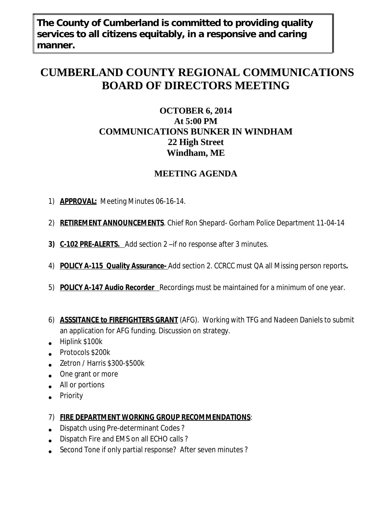**The County of Cumberland is committed to providing quality services to all citizens equitably, in a responsive and caring manner.**

# **CUMBERLAND COUNTY REGIONAL COMMUNICATIONS BOARD OF DIRECTORS MEETING**

### **OCTOBER 6, 2014 At 5:00 PM COMMUNICATIONS BUNKER IN WINDHAM 22 High Street Windham, ME**

## **MEETING AGENDA**

- 1) **APPROVAL:** Meeting Minutes 06-16-14.
- 2) **RETIREMENT ANNOUNCEMENTS**. Chief Ron Shepard- Gorham Police Department 11-04-14
- **3) C-102 PRE-ALERTS.** Add section 2 –if no response after 3 minutes.
- 4) **POLICY A-115 Quality Assurance-** Add section 2. CCRCC must QA all Missing person reports**.**
- 5) **POLICY A-147 Audio Recorder** Recordings must be maintained for a minimum of one year.
- 6) **ASSSITANCE to FIREFIGHTERS GRANT** (AFG). Working with TFG and Nadeen Daniels to submit an application for AFG funding. Discussion on strategy.
- Hiplink \$100k
- Protocols \$200k
- $\bullet$ Zetron / Harris \$300-\$500k
- . One grant or more
- All or portions
- Priority
- 7) **FIRE DEPARTMENT WORKING GROUP RECOMMENDATIONS**:
- Dispatch using Pre-determinant Codes ?
- Dispatch Fire and EMS on all ECHO calls ?
- $\bullet$ Second Tone if only partial response? After seven minutes ?